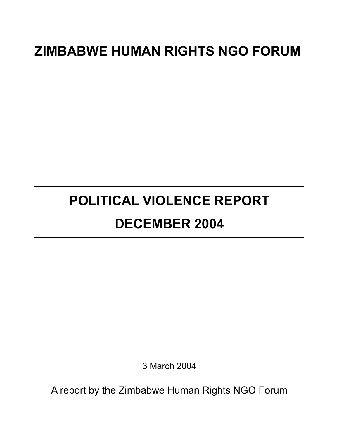## **ZIMBABWE HUMAN RIGHTS NGO FORUM**

# **POLITICAL VIOLENCE REPORT DECEMBER 2004**

3 March 2004

A report by the Zimbabwe Human Rights NGO Forum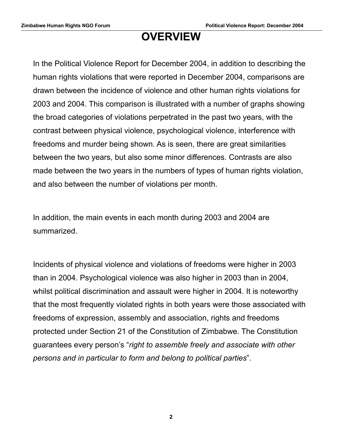### **OVERVIEW**

In the Political Violence Report for December 2004, in addition to describing the human rights violations that were reported in December 2004, comparisons are drawn between the incidence of violence and other human rights violations for 2003 and 2004. This comparison is illustrated with a number of graphs showing the broad categories of violations perpetrated in the past two years, with the contrast between physical violence, psychological violence, interference with freedoms and murder being shown. As is seen, there are great similarities between the two years, but also some minor differences. Contrasts are also made between the two years in the numbers of types of human rights violation, and also between the number of violations per month.

In addition, the main events in each month during 2003 and 2004 are summarized.

Incidents of physical violence and violations of freedoms were higher in 2003 than in 2004. Psychological violence was also higher in 2003 than in 2004, whilst political discrimination and assault were higher in 2004. It is noteworthy that the most frequently violated rights in both years were those associated with freedoms of expression, assembly and association, rights and freedoms protected under Section 21 of the Constitution of Zimbabwe. The Constitution guarantees every person's "*right to assemble freely and associate with other persons and in particular to form and belong to political parties*".

**2**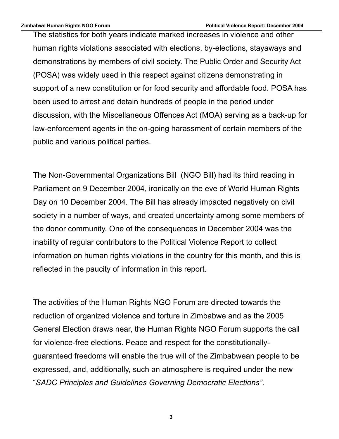The statistics for both years indicate marked increases in violence and other human rights violations associated with elections, by-elections, stayaways and demonstrations by members of civil society. The Public Order and Security Act (POSA) was widely used in this respect against citizens demonstrating in support of a new constitution or for food security and affordable food. POSA has been used to arrest and detain hundreds of people in the period under discussion, with the Miscellaneous Offences Act (MOA) serving as a back-up for law-enforcement agents in the on-going harassment of certain members of the public and various political parties.

The Non-Governmental Organizations Bill (NGO Bill) had its third reading in Parliament on 9 December 2004, ironically on the eve of World Human Rights Day on 10 December 2004. The Bill has already impacted negatively on civil society in a number of ways, and created uncertainty among some members of the donor community. One of the consequences in December 2004 was the inability of regular contributors to the Political Violence Report to collect information on human rights violations in the country for this month, and this is reflected in the paucity of information in this report.

The activities of the Human Rights NGO Forum are directed towards the reduction of organized violence and torture in Zimbabwe and as the 2005 General Election draws near, the Human Rights NGO Forum supports the call for violence-free elections. Peace and respect for the constitutionallyguaranteed freedoms will enable the true will of the Zimbabwean people to be expressed, and, additionally, such an atmosphere is required under the new "*SADC Principles and Guidelines Governing Democratic Elections"*.

**3**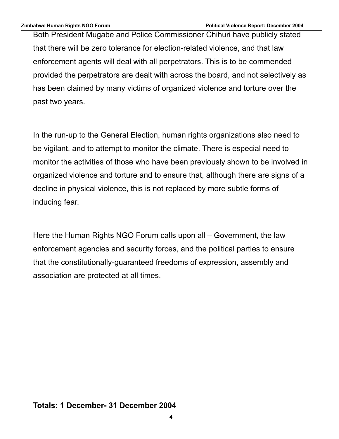Both President Mugabe and Police Commissioner Chihuri have publicly stated that there will be zero tolerance for election-related violence, and that law enforcement agents will deal with all perpetrators. This is to be commended provided the perpetrators are dealt with across the board, and not selectively as has been claimed by many victims of organized violence and torture over the past two years.

In the run-up to the General Election, human rights organizations also need to be vigilant, and to attempt to monitor the climate. There is especial need to monitor the activities of those who have been previously shown to be involved in organized violence and torture and to ensure that, although there are signs of a decline in physical violence, this is not replaced by more subtle forms of inducing fear.

Here the Human Rights NGO Forum calls upon all – Government, the law enforcement agencies and security forces, and the political parties to ensure that the constitutionally-guaranteed freedoms of expression, assembly and association are protected at all times.

#### **Totals: 1 December- 31 December 2004**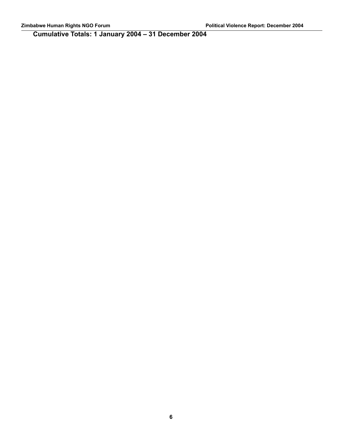**Cumulative Totals: 1 January 2004 – 31 December 2004**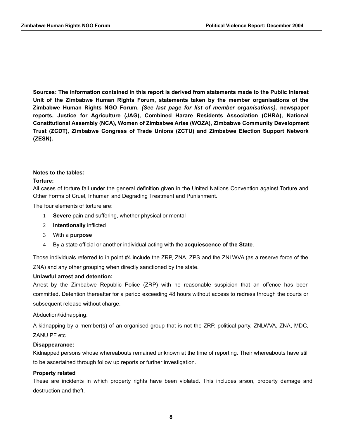**Sources: The information contained in this report is derived from statements made to the Public Interest Unit of the Zimbabwe Human Rights Forum, statements taken by the member organisations of the Zimbabwe Human Rights NGO Forum***. (See last page for list of member organisations),* **newspaper reports, Justice for Agriculture (JAG), Combined Harare Residents Association (CHRA), National Constitutional Assembly (NCA), Women of Zimbabwe Arise (WOZA), Zimbabwe Community Development Trust (ZCDT), Zimbabwe Congress of Trade Unions (ZCTU) and Zimbabwe Election Support Network (ZESN).**

#### **Notes to the tables:**

#### **Torture:**

All cases of torture fall under the general definition given in the United Nations Convention against Torture and Other Forms of Cruel, Inhuman and Degrading Treatment and Punishment.

The four elements of torture are:

- 1 **Severe** pain and suffering, whether physical or mental
- 2 **Intentionally** inflicted
- 3 With a **purpose**
- 4 By a state official or another individual acting with the **acquiescence of the State**.

Those individuals referred to in point #4 include the ZRP, ZNA, ZPS and the ZNLWVA (as a reserve force of the ZNA) and any other grouping when directly sanctioned by the state.

#### **Unlawful arrest and detention:**

Arrest by the Zimbabwe Republic Police (ZRP) with no reasonable suspicion that an offence has been committed. Detention thereafter for a period exceeding 48 hours without access to redress through the courts or subsequent release without charge.

Abduction/kidnapping:

A kidnapping by a member(s) of an organised group that is not the ZRP, political party, ZNLWVA, ZNA, MDC, ZANU PF etc

#### **Disappearance:**

Kidnapped persons whose whereabouts remained unknown at the time of reporting. Their whereabouts have still to be ascertained through follow up reports or further investigation.

#### **Property related**

These are incidents in which property rights have been violated. This includes arson, property damage and destruction and theft.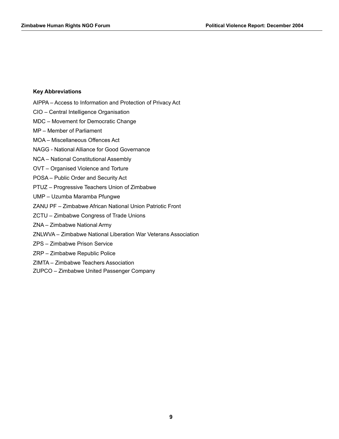#### **Key Abbreviations**

- AIPPA Access to Information and Protection of Privacy Act
- CIO Central Intelligence Organisation
- MDC Movement for Democratic Change
- MP Member of Parliament
- MOA Miscellaneous Offences Act
- NAGG National Alliance for Good Governance
- NCA National Constitutional Assembly
- OVT Organised Violence and Torture
- POSA Public Order and Security Act
- PTUZ Progressive Teachers Union of Zimbabwe
- UMP Uzumba Maramba Pfungwe
- ZANU PF Zimbabwe African National Union Patriotic Front
- ZCTU Zimbabwe Congress of Trade Unions
- ZNA Zimbabwe National Army
- ZNLWVA Zimbabwe National Liberation War Veterans Association
- ZPS Zimbabwe Prison Service
- ZRP Zimbabwe Republic Police
- ZIMTA Zimbabwe Teachers Association
- ZUPCO Zimbabwe United Passenger Company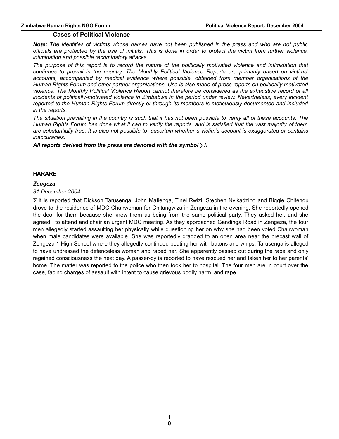#### **Cases of Political Violence**

*Note: The identities of victims whose names have not been published in the press and who are not public officials are protected by the use of initials. This is done in order to protect the victim from further violence, intimidation and possible recriminatory attacks.*

*The purpose of this report is to record the nature of the politically motivated violence and intimidation that continues to prevail in the country. The Monthly Political Violence Reports are primarily based on victims' accounts, accompanied by medical evidence where possible, obtained from member organisations of the Human Rights Forum and other partner organisations. Use is also made of press reports on politically motivated violence. The Monthly Political Violence Report cannot therefore be considered as the exhaustive record of all incidents of politically-motivated violence in Zimbabwe in the period under review. Nevertheless, every incident reported to the Human Rights Forum directly or through its members is meticulously documented and included in the reports.*

*The situation prevailing in the country is such that it has not been possible to verify all of these accounts. The Human Rights Forum has done what it can to verify the reports, and is satisfied that the vast majority of them are substantially true. It is also not possible to ascertain whether a victim's account is exaggerated or contains inaccuracies.*

*All reports derived from the press are denoted with the symbol* ∑*.*\

#### **HARARE**

#### *Zengeza*

#### *31 December 2004*

∑.It is reported that Dickson Tarusenga, John Matienga, Tinei Rwizi, Stephen Nyikadzino and Biggie Chitengu drove to the residence of MDC Chairwoman for Chitungwiza in Zengeza in the evening. She reportedly opened the door for them because she knew them as being from the same political party. They asked her, and she agreed, to attend and chair an urgent MDC meeting. As they approached Gandinga Road in Zengeza, the four men allegedly started assaulting her physically while questioning her on why she had been voted Chairwoman when male candidates were available. She was reportedly dragged to an open area near the precast wall of Zengeza 1 High School where they allegedly continued beating her with batons and whips. Tarusenga is alleged to have undressed the defenceless woman and raped her. She apparently passed out during the rape and only regained consciousness the next day. A passer-by is reported to have rescued her and taken her to her parents' home. The matter was reported to the police who then took her to hospital. The four men are in court over the case, facing charges of assault with intent to cause grievous bodily harm, and rape.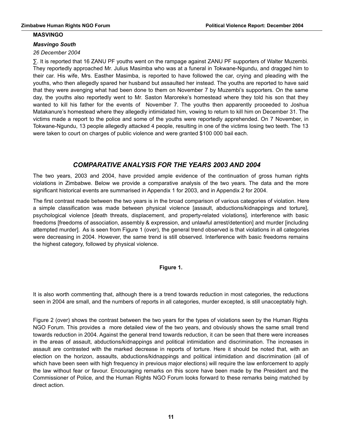#### **MASVINGO**

#### *Masvingo South*

#### *26 December 2004*

∑. It is reported that 16 ZANU PF youths went on the rampage against ZANU PF supporters of Walter Muzembi. They reportedly approached Mr. Julius Masimba who was at a funeral in Tokwane-Ngundu, and dragged him to their car. His wife, Mrs. Easther Masimba, is reported to have followed the car, crying and pleading with the youths, who then allegedly spared her husband but assaulted her instead. The youths are reported to have said that they were avenging what had been done to them on November 7 by Muzembi's supporters. On the same day, the youths also reportedly went to Mr. Saston Maroreke's homestead where they told his son that they wanted to kill his father for the events of November 7. The youths then apparently proceeded to Joshua Matakanure's homestead where they allegedly intimidated him, vowing to return to kill him on December 31. The victims made a report to the police and some of the youths were reportedly apprehended. On 7 November, in Tokwane-Ngundu, 13 people allegedly attacked 4 people, resulting in one of the victims losing two teeth. The 13 were taken to court on charges of public violence and were granted \$100 000 bail each.

#### *COMPARATIVE ANALYSIS FOR THE YEARS 2003 AND 2004*

The two years, 2003 and 2004, have provided ample evidence of the continuation of gross human rights violations in Zimbabwe. Below we provide a comparative analysis of the two years. The data and the more significant historical events are summarised in Appendix 1 for 2003, and in Appendix 2 for 2004.

The first contrast made between the two years is in the broad comparison of various categories of violation. Here a simple classification was made between physical violence [assault, abductions/kidnappings and torture], psychological violence [death threats, displacement, and property-related violations], interference with basic freedoms [freedoms of association, assembly & expression, and unlawful arrest/detention] and murder [including attempted murder]. As is seen from Figure 1 (over), the general trend observed is that violations in all categories were decreasing in 2004. However, the same trend is still observed. Interference with basic freedoms remains the highest category, followed by physical violence.

#### **Figure 1.**

It is also worth commenting that, although there is a trend towards reduction in most categories, the reductions seen in 2004 are small, and the numbers of reports in all categories, murder excepted, is still unacceptably high.

Figure 2 (over) shows the contrast between the two years for the types of violations seen by the Human Rights NGO Forum. This provides a more detailed view of the two years, and obviously shows the same small trend towards reduction in 2004. Against the general trend towards reduction, it can be seen that there were increases in the areas of assault, abductions/kidnappings and political intimidation and discrimination. The increases in assault are contrasted with the marked decrease in reports of torture. Here it should be noted that, with an election on the horizon, assaults, abductions/kidnappings and political intimidation and discrimination (all of which have been seen with high frequency in previous major elections) will require the law enforcement to apply the law without fear or favour. Encouraging remarks on this score have been made by the President and the Commissioner of Police, and the Human Rights NGO Forum looks forward to these remarks being matched by direct action.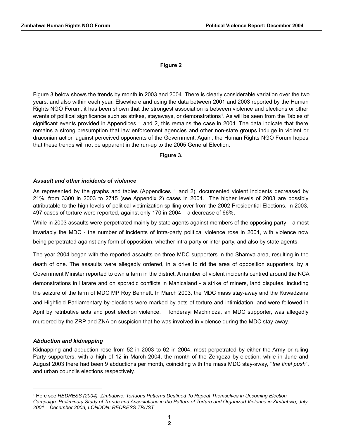#### **Figure 2**

Figure 3 below shows the trends by month in 2003 and 2004. There is clearly considerable variation over the two years, and also within each year. Elsewhere and using the data between 2001 and 2003 reported by the Human Rights NGO Forum, it has been shown that the strongest association is between violence and elections or other events of political significance such as strikes, stayaways, or demonstrations<sup>[1](#page-11-0)</sup>. As will be seen from the Tables of significant events provided in Appendices 1 and 2, this remains the case in 2004. The data indicate that there remains a strong presumption that law enforcement agencies and other non-state groups indulge in violent or draconian action against perceived opponents of the Government. Again, the Human Rights NGO Forum hopes that these trends will not be apparent in the run-up to the 2005 General Election.

#### **Figure 3.**

#### *Assault and other incidents of violence*

As represented by the graphs and tables (Appendices 1 and 2), documented violent incidents decreased by 21%, from 3300 in 2003 to 2715 (see Appendix 2) cases in 2004. The higher levels of 2003 are possibly attributable to the high levels of political victimization spilling over from the 2002 Presidential Elections. In 2003, 497 cases of torture were reported, against only 170 in 2004 – a decrease of 66%.

While in 2003 assaults were perpetrated mainly by state agents against members of the opposing party – almost invariably the MDC - the number of incidents of intra-party political violence rose in 2004, with violence now being perpetrated against any form of opposition, whether intra-party or inter-party, and also by state agents.

The year 2004 began with the reported assaults on three MDC supporters in the Shamva area, resulting in the death of one. The assaults were allegedly ordered, in a drive to rid the area of opposition supporters, by a Government Minister reported to own a farm in the district. A number of violent incidents centred around the NCA demonstrations in Harare and on sporadic conflicts in Manicaland - a strike of miners, land disputes, including the seizure of the farm of MDC MP Roy Bennett. In March 2003, the MDC mass stay-away and the Kuwadzana and Highfield Parliamentary by-elections were marked by acts of torture and intimidation, and were followed in April by retributive acts and post election violence. Tonderayi Machiridza, an MDC supporter, was allegedly murdered by the ZRP and ZNA on suspicion that he was involved in violence during the MDC stay-away.

#### *Abduction and kidnapping*

Kidnapping and abduction rose from 52 in 2003 to 62 in 2004, most perpetrated by either the Army or ruling Party supporters, with a high of 12 in March 2004, the month of the Zengeza by-election; while in June and August 2003 there had been 9 abductions per month, coinciding with the mass MDC stay-away, "*the final push*", and urban councils elections respectively.

<span id="page-11-0"></span><sup>1</sup> Here see *REDRESS (2004), Zimbabwe: Tortuous Patterns Destined To Repeat Themselves in Upcoming Election Campaign. Preliminary Study of Trends and Associations in the Pattern of Torture and Organized Violence in Zimbabwe, July 2001 – December 2003, LONDON: REDRESS TRUST.*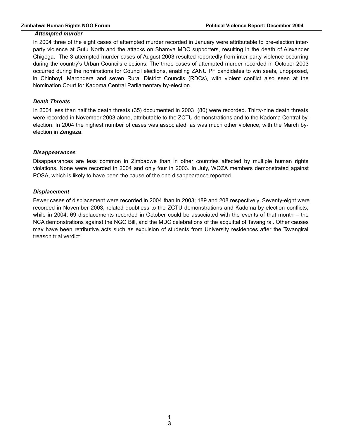#### *Attempted murder*

In 2004 three of the eight cases of attempted murder recorded in January were attributable to pre-election interparty violence at Gutu North and the attacks on Shamva MDC supporters, resulting in the death of Alexander Chigega. The 3 attempted murder cases of August 2003 resulted reportedly from inter-party violence occurring during the country's Urban Councils elections. The three cases of attempted murder recorded in October 2003 occurred during the nominations for Council elections, enabling ZANU PF candidates to win seats, unopposed, in Chinhoyi, Marondera and seven Rural District Councils (RDCs), with violent conflict also seen at the Nomination Court for Kadoma Central Parliamentary by-election.

#### *Death Threats*

In 2004 less than half the death threats (35) documented in 2003 (80) were recorded. Thirty-nine death threats were recorded in November 2003 alone, attributable to the ZCTU demonstrations and to the Kadoma Central byelection. In 2004 the highest number of cases was associated, as was much other violence, with the March byelection in Zengaza.

#### *Disappearances*

Disappearances are less common in Zimbabwe than in other countries affected by multiple human rights violations. None were recorded in 2004 and only four in 2003. In July, WOZA members demonstrated against POSA, which is likely to have been the cause of the one disappearance reported.

#### *Displacement*

Fewer cases of displacement were recorded in 2004 than in 2003; 189 and 208 respectively. Seventy-eight were recorded in November 2003, related doubtless to the ZCTU demonstrations and Kadoma by-election conflicts, while in 2004, 69 displacements recorded in October could be associated with the events of that month – the NCA demonstrations against the NGO Bill, and the MDC celebrations of the acquittal of Tsvangirai. Other causes may have been retributive acts such as expulsion of students from University residences after the Tsvangirai treason trial verdict.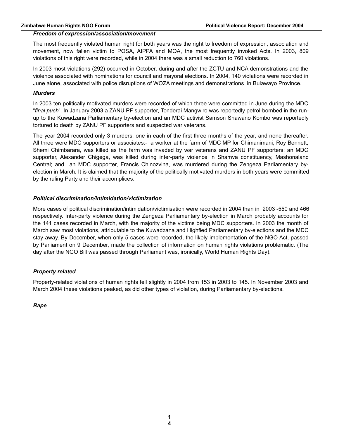#### *Freedom of expression/association/movement*

The most frequently violated human right for both years was the right to freedom of expression, association and movement, now fallen victim to POSA, AIPPA and MOA, the most frequently invoked Acts. In 2003, 809 violations of this right were recorded, while in 2004 there was a small reduction to 760 violations.

In 2003 most violations (292) occurred in October, during and after the ZCTU and NCA demonstrations and the violence associated with nominations for council and mayoral elections. In 2004, 140 violations were recorded in June alone, associated with police disruptions of WOZA meetings and demonstrations in Bulawayo Province.

#### *Murders*

In 2003 ten politically motivated murders were recorded of which three were committed in June during the MDC "*final push*". In January 2003 a ZANU PF supporter, Tonderai Mangwiro was reportedly petrol-bombed in the runup to the Kuwadzana Parliamentary by-election and an MDC activist Samson Shawano Kombo was reportedly tortured to death by ZANU PF supporters and suspected war veterans.

The year 2004 recorded only 3 murders, one in each of the first three months of the year, and none thereafter. All three were MDC supporters or associates:- a worker at the farm of MDC MP for Chimanimani, Roy Bennett, Shemi Chimbarara, was killed as the farm was invaded by war veterans and ZANU PF supporters; an MDC supporter, Alexander Chigega, was killed during inter-party violence in Shamva constituency, Mashonaland Central; and an MDC supporter, Francis Chinozvina, was murdered during the Zengeza Parliamentary byelection in March. It is claimed that the majority of the politically motivated murders in both years were committed by the ruling Party and their accomplices.

#### *Political discrimination/intimidation/victimization*

More cases of political discrimination/intimidation/victimisation were recorded in 2004 than in 2003 -550 and 466 respectively. Inter-party violence during the Zengeza Parliamentary by-election in March probably accounts for the 141 cases recorded in March, with the majority of the victims being MDC supporters. In 2003 the month of March saw most violations, attributable to the Kuwadzana and Highfied Parliamentary by-elections and the MDC stay-away. By December, when only 5 cases were recorded, the likely implementation of the NGO Act, passed by Parliament on 9 December, made the collection of information on human rights violations problematic. (The day after the NGO Bill was passed through Parliament was, ironically, World Human Rights Day).

#### *Property related*

Property-related violations of human rights fell slightly in 2004 from 153 in 2003 to 145. In November 2003 and March 2004 these violations peaked, as did other types of violation, during Parliamentary by-elections.

*Rape*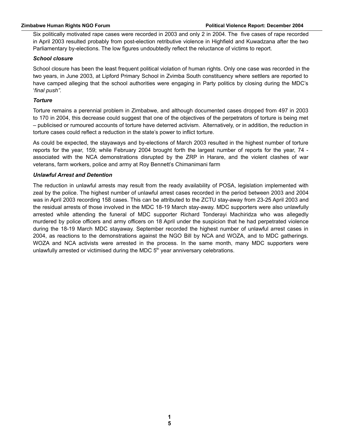Six politically motivated rape cases were recorded in 2003 and only 2 in 2004. The five cases of rape recorded in April 2003 resulted probably from post-election retributive violence in Highfield and Kuwadzana after the two Parliamentary by-elections. The low figures undoubtedly reflect the reluctance of victims to report.

#### *School closure*

School closure has been the least frequent political violation of human rights. Only one case was recorded in the two years, in June 2003, at Lipford Primary School in Zvimba South constituency where settlers are reported to have camped alleging that the school authorities were engaging in Party politics by closing during the MDC's '*final push".*

#### *Torture*

Torture remains a perennial problem in Zimbabwe, and although documented cases dropped from 497 in 2003 to 170 in 2004, this decrease could suggest that one of the objectives of the perpetrators of torture is being met – publicised or rumoured accounts of torture have deterred activism. Alternatively, or in addition, the reduction in torture cases could reflect a reduction in the state's power to inflict torture.

As could be expected, the stayaways and by-elections of March 2003 resulted in the highest number of torture reports for the year, 159; while February 2004 brought forth the largest number of reports for the year, 74 associated with the NCA demonstrations disrupted by the ZRP in Harare, and the violent clashes of war veterans, farm workers, police and army at Roy Bennett's Chimanimani farm

#### *Unlawful Arrest and Detention*

The reduction in unlawful arrests may result from the ready availability of POSA, legislation implemented with zeal by the police. The highest number of unlawful arrest cases recorded in the period between 2003 and 2004 was in April 2003 recording 158 cases. This can be attributed to the ZCTU stay-away from 23-25 April 2003 and the residual arrests of those involved in the MDC 18-19 March stay-away. MDC supporters were also unlawfully arrested while attending the funeral of MDC supporter Richard Tonderayi Machiridza who was allegedly murdered by police officers and army officers on 18 April under the suspicion that he had perpetrated violence during the 18-19 March MDC stayaway. September recorded the highest number of unlawful arrest cases in 2004, as reactions to the demonstrations against the NGO Bill by NCA and WOZA, and to MDC gatherings. WOZA and NCA activists were arrested in the process. In the same month, many MDC supporters were unlawfully arrested or victimised during the MDC  $5<sup>th</sup>$  year anniversary celebrations.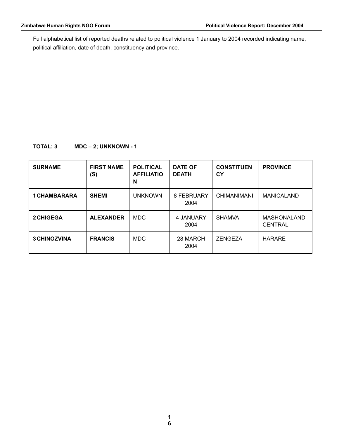Full alphabetical list of reported deaths related to political violence 1 January to 2004 recorded indicating name, political affiliation, date of death, constituency and province.

#### **TOTAL: 3 MDC – 2; UNKNOWN - 1**

| <b>SURNAME</b>      | <b>FIRST NAME</b><br>(S) | <b>POLITICAL</b><br><b>AFFILIATIO</b><br>N | <b>DATE OF</b><br><b>DEATH</b> | <b>CONSTITUEN</b><br>CY | <b>PROVINCE</b>               |  |  |
|---------------------|--------------------------|--------------------------------------------|--------------------------------|-------------------------|-------------------------------|--|--|
| <b>1 CHAMBARARA</b> | <b>SHEMI</b>             | <b>UNKNOWN</b>                             | 8 FEBRUARY<br>2004             | <b>CHIMANIMANI</b>      | <b>MANICALAND</b>             |  |  |
| 2 CHIGEGA           | <b>ALEXANDER</b>         | <b>MDC</b>                                 | 4 JANUARY<br>2004              | <b>SHAMVA</b>           | MASHONALAND<br><b>CENTRAL</b> |  |  |
| <b>3 CHINOZVINA</b> | <b>FRANCIS</b>           | <b>MDC</b>                                 | 28 MARCH<br>2004               | <b>ZENGEZA</b>          | <b>HARARE</b>                 |  |  |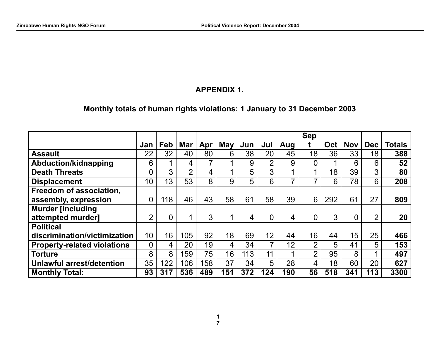#### **APPENDIX 1.**

### **Monthly totals of human rights violations: 1 January to 31 December 2003**

|                                    |                 |     |                |     |     |     |                 |     | <b>Sep</b>     |            |            |                |               |
|------------------------------------|-----------------|-----|----------------|-----|-----|-----|-----------------|-----|----------------|------------|------------|----------------|---------------|
|                                    | Jan             | Feb | Mar            | Apr | May | Jun | Jul             | Aug |                | <b>Oct</b> | <b>Nov</b> | <b>Dec</b>     | <b>Totals</b> |
| <b>Assault</b>                     | 22              | 32  | 40             | 80  | 6   | 38  | 20              | 45  | 18             | 36         | 33         | 18             | 388           |
| Abduction/kidnapping               | 6               |     | 4              |     |     | 9   | $\overline{2}$  | 9   | 0              | 1          | 6          | 6              | 52            |
| <b>Death Threats</b>               | 0               | 3   | $\overline{2}$ | 4   |     | 5   | 3               |     | 1              | 18         | 39         | 3              | 80            |
| <b>Displacement</b>                | 10              | 13  | 53             | 8   | 9   | 5   | 6               | ⇁   | 7              | 6          | 78         | 6              | 208           |
| Freedom of association,            |                 |     |                |     |     |     |                 |     |                |            |            |                |               |
| assembly, expression               | 0               | 118 | 46             | 43  | 58  | 61  | 58              | 39  | 6              | 292        | 61         | 27             | 809           |
| <b>Murder [including</b>           |                 |     |                |     |     |     |                 |     |                |            |            |                |               |
| attempted murder]                  | 2               | 0   | ◢              | 3   | ◢   | 4   |                 | 4   | 0              | 3          | 0          | $\overline{2}$ | 20            |
| <b>Political</b>                   |                 |     |                |     |     |     |                 |     |                |            |            |                |               |
| discrimination/victimization       | 10 <sup>°</sup> | 16  | 105            | 92  | 18  | 69  | 12 <sub>2</sub> | 44  | 16             | 44         | 15         | 25             | 466           |
| <b>Property-related violations</b> | $\Omega$        | 4   | 20             | 19  | 4   | 34  | 7               | 12  | $\overline{2}$ | 5          | 41         | 5              | 153           |
| <b>Torture</b>                     | 8               | 8   | 159            | 75  | 16  | 113 | 11              |     | $\overline{2}$ | 95         | 8          | 1              | 497           |
| Unlawful arrest/detention          | 35              | 122 | 106            | 158 | 37  | 34  | 5               | 28  | 4              | 18         | 60         | 20             | 627           |
| <b>Monthly Total:</b>              | 93              | 317 | 536            | 489 | 151 | 372 | 124             | 190 | 56             | 518        | 341        | 113            | 3300          |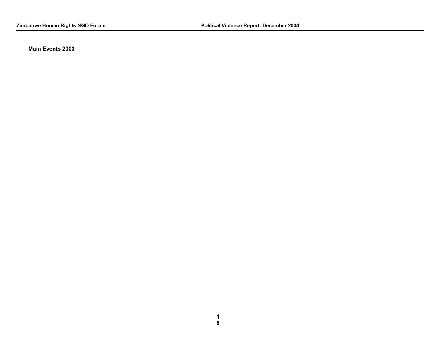**Main Events 2003**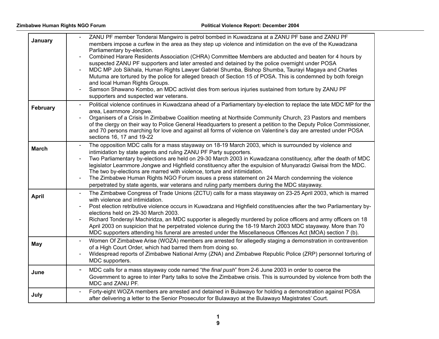| January      | ZANU PF member Tonderai Mangwiro is petrol bombed in Kuwadzana at a ZANU PF base and ZANU PF<br>members impose a curfew in the area as they step up violence and intimidation on the eve of the Kuwadzana<br>Parliamentary by-election.<br>Combined Harare Residents Association (CHRA) Committee Members are abducted and beaten for 4 hours by<br>suspected ZANU PF supporters and later arrested and detained by the police overnight under POSA<br>MDC MP Job Sikhala, Human Rights Lawyer Gabriel Shumba, Bishop Shumba, Taurayi Magaya and Charles<br>Mutuma are tortured by the police for alleged breach of Section 15 of POSA. This is condemned by both foreign<br>and local Human Rights Groups.<br>Samson Shawano Kombo, an MDC activist dies from serious injuries sustained from torture by ZANU PF<br>supporters and suspected war veterans. |
|--------------|-------------------------------------------------------------------------------------------------------------------------------------------------------------------------------------------------------------------------------------------------------------------------------------------------------------------------------------------------------------------------------------------------------------------------------------------------------------------------------------------------------------------------------------------------------------------------------------------------------------------------------------------------------------------------------------------------------------------------------------------------------------------------------------------------------------------------------------------------------------|
| February     | Political violence continues in Kuwadzana ahead of a Parliamentary by-election to replace the late MDC MP for the<br>area, Learnmore Jongwe.<br>Organisers of a Crisis In Zimbabwe Coalition meeting at Northside Community Church, 23 Pastors and members<br>of the clergy on their way to Police General Headquarters to present a petition to the Deputy Police Commissioner,<br>and 70 persons marching for love and against all forms of violence on Valentine's day are arrested under POSA<br>sections 16, 17 and 19-22                                                                                                                                                                                                                                                                                                                              |
| <b>March</b> | The opposition MDC calls for a mass stayaway on 18-19 March 2003, which is surrounded by violence and<br>intimidation by state agents and ruling ZANU PF Party supporters.<br>Two Parliamentary by-elections are held on 29-30 March 2003 in Kuwadzana constituency, after the death of MDC<br>legislator Learnmore Jongwe and Highfield constituency after the expulsion of Munyaradzi Gwisai from the MDC.<br>The two by-elections are marred with violence, torture and intimidation.<br>The Zimbabwe Human Rights NGO Forum issues a press statement on 24 March condemning the violence<br>perpetrated by state agents, war veterans and ruling party members during the MDC stayaway.                                                                                                                                                                 |
| <b>April</b> | The Zimbabwe Congress of Trade Unions (ZCTU) calls for a mass stayaway on 23-25 April 2003, which is marred<br>$\overline{\phantom{a}}$<br>with violence and intimidation.<br>Post election retributive violence occurs in Kuwadzana and Highfield constituencies after the two Parliamentary by-<br>elections held on 29-30 March 2003.<br>Richard Tonderayi Machiridza, an MDC supporter is allegedly murdered by police officers and army officers on 18<br>April 2003 on suspicion that he perpetrated violence during the 18-19 March 2003 MDC stayaway. More than 70<br>MDC supporters attending his funeral are arrested under the Miscellaneous Offences Act (MOA) section 7 (b).                                                                                                                                                                   |
| <b>May</b>   | Women Of Zimbabwe Arise (WOZA) members are arrested for allegedly staging a demonstration in contravention<br>$\overline{\phantom{a}}$<br>of a High Court Order, which had barred them from doing so.<br>Widespread reports of Zimbabwe National Army (ZNA) and Zimbabwe Republic Police (ZRP) personnel torturing of<br>MDC supporters.                                                                                                                                                                                                                                                                                                                                                                                                                                                                                                                    |
| June         | MDC calls for a mass stayaway code named "the final push" from 2-6 June 2003 in order to coerce the<br>Government to agree to inter Party talks to solve the Zimbabwe crisis. This is surrounded by violence from both the<br>MDC and ZANU PF.                                                                                                                                                                                                                                                                                                                                                                                                                                                                                                                                                                                                              |
| July         | Forty-eight WOZA members are arrested and detained in Bulawayo for holding a demonstration against POSA<br>after delivering a letter to the Senior Prosecutor for Bulawayo at the Bulawayo Magistrates' Court.                                                                                                                                                                                                                                                                                                                                                                                                                                                                                                                                                                                                                                              |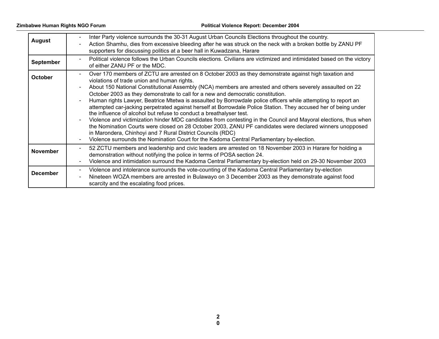| <b>August</b>    | Inter Party violence surrounds the 30-31 August Urban Councils Elections throughout the country.<br>Action Shamhu, dies from excessive bleeding after he was struck on the neck with a broken bottle by ZANU PF<br>$\overline{\phantom{a}}$<br>supporters for discussing politics at a beer hall in Kuwadzana, Harare                                                                                                                                                                                                                                                                                                                                                                                                                                                                                                                                                                                                                                                                                                                                                        |
|------------------|------------------------------------------------------------------------------------------------------------------------------------------------------------------------------------------------------------------------------------------------------------------------------------------------------------------------------------------------------------------------------------------------------------------------------------------------------------------------------------------------------------------------------------------------------------------------------------------------------------------------------------------------------------------------------------------------------------------------------------------------------------------------------------------------------------------------------------------------------------------------------------------------------------------------------------------------------------------------------------------------------------------------------------------------------------------------------|
| <b>September</b> | Political violence follows the Urban Councils elections. Civilians are victimized and intimidated based on the victory<br>of either ZANU PF or the MDC.                                                                                                                                                                                                                                                                                                                                                                                                                                                                                                                                                                                                                                                                                                                                                                                                                                                                                                                      |
| October          | Over 170 members of ZCTU are arrested on 8 October 2003 as they demonstrate against high taxation and<br>violations of trade union and human rights.<br>About 150 National Constitutional Assembly (NCA) members are arrested and others severely assaulted on 22<br>October 2003 as they demonstrate to call for a new and democratic constitution.<br>Human rights Lawyer, Beatrice Mtetwa is assaulted by Borrowdale police officers while attempting to report an<br>attempted car-jacking perpetrated against herself at Borrowdale Police Station. They accused her of being under<br>the influence of alcohol but refuse to conduct a breathalyser test.<br>Violence and victimization hinder MDC candidates from contesting in the Council and Mayoral elections, thus when<br>$\blacksquare$<br>the Nomination Courts were closed on 28 October 2003, ZANU PF candidates were declared winners unopposed<br>in Marondera, Chinhoyi and 7 Rural District Councils (RDC)<br>Violence surrounds the Nomination Court for the Kadoma Central Parliamentary by-election. |
| <b>November</b>  | 52 ZCTU members and leadership and civic leaders are arrested on 18 November 2003 in Harare for holding a<br>demonstration without notifying the police in terms of POSA section 24.<br>Violence and intimidation surround the Kadoma Central Parliamentary by-election held on 29-30 November 2003                                                                                                                                                                                                                                                                                                                                                                                                                                                                                                                                                                                                                                                                                                                                                                          |
| <b>December</b>  | Violence and intolerance surrounds the vote-counting of the Kadoma Central Parliamentary by-election<br>$\blacksquare$<br>Nineteen WOZA members are arrested in Bulawayo on 3 December 2003 as they demonstrate against food<br>scarcity and the escalating food prices.                                                                                                                                                                                                                                                                                                                                                                                                                                                                                                                                                                                                                                                                                                                                                                                                     |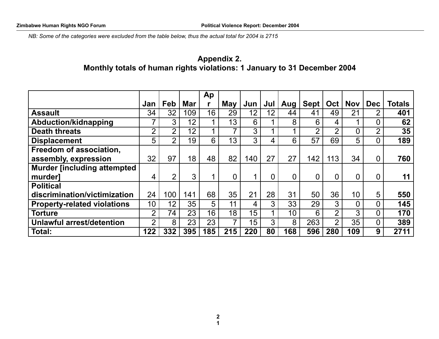*NB: Some of the categories were excluded from the table below, thus the actual total for 2004 is 2715*

### **Appendix 2. Monthly totals of human rights violations: 1 January to 31 December 2004**

|                                    |                |                |                 | Ap  |                          |              |     |                 |                |                |            |                |        |
|------------------------------------|----------------|----------------|-----------------|-----|--------------------------|--------------|-----|-----------------|----------------|----------------|------------|----------------|--------|
|                                    | Jan            | Feb            | <b>Mar</b>      |     | May                      | Jun          | Jul | Aug             | Sept '         | Oct            | <b>Nov</b> | <b>Dec</b>     | Totals |
| <b>Assault</b>                     | 34             | 32             | 109             | 16  | 29                       | 12           | 12  | 44              | 41             | 49             | 21         | 2              | 401    |
| Abduction/kidnapping               |                | 3              | 12              | ◢   | 13                       | 6            |     | 8               | 6              | 4              |            | 0              | 62     |
| <b>Death threats</b>               | $\overline{2}$ | $\overline{2}$ | 12 <sup>°</sup> |     | 7                        | 3            |     |                 | $\overline{2}$ | $\overline{2}$ | 0          | $\overline{2}$ | 35     |
| <b>Displacement</b>                | 5              | $\overline{2}$ | 19              | 6   | 13                       | $\mathbf{3}$ | 4   | 6               | 57             | 69             | 5          | 0              | 189    |
| Freedom of association,            |                |                |                 |     |                          |              |     |                 |                |                |            |                |        |
| assembly, expression               | 32             | 97             | 18              | 48  | 82                       | 140          | 27  | 27              | 142            | 113            | 34         | 0              | 760    |
| <b>Murder [including attempted</b> |                |                |                 |     |                          |              |     |                 |                |                |            |                |        |
| murderl                            | 4              | $\overline{2}$ | 3               | и   | $\overline{0}$           |              |     | 0               | $\overline{0}$ | 0              | $\Omega$   | 0              | 11     |
| <b>Political</b>                   |                |                |                 |     |                          |              |     |                 |                |                |            |                |        |
| discrimination/victimization       | 24             | 100            | 141             | 68  | 35                       | 21           | 28  | 31              | 50             | 36             | 10         | 5              | 550    |
| <b>Property-related violations</b> | 10             | 12             | 35              | 5   | 11                       | 4            | 3   | 33              | 29             | 3              | $\Omega$   | 0              | 145    |
| <b>Torture</b>                     | $\overline{2}$ | 74             | 23              | 16  | 18                       | 15           |     | 10 <sup>°</sup> | 6              | $\overline{2}$ | 3          | 0              | 170    |
| Unlawful arrest/detention          | $\overline{2}$ | 8              | 23              | 23  | $\overline{\phantom{a}}$ | 15           | 3   | 8               | 263            | $\overline{2}$ | 35         | 0              | 389    |
| <b>Total:</b>                      | 122            | 332            | 395             | 185 | 215                      | 220          | 80  | 168             | 596            | 280            | 109        | 9              | 2711   |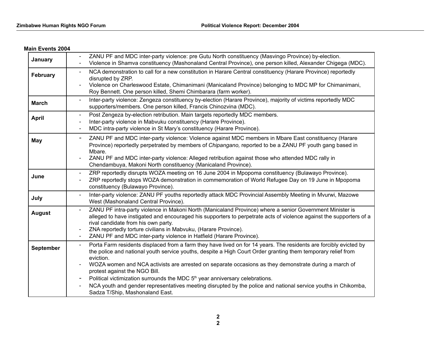#### **Main Events 2004**

| January       | ZANU PF and MDC inter-party violence: pre Gutu North constituency (Masvingo Province) by-election.<br>Violence in Shamva constituency (Mashonaland Central Province), one person killed, Alexander Chigega (MDC).                                                                                                                                                                                                                                                            |
|---------------|------------------------------------------------------------------------------------------------------------------------------------------------------------------------------------------------------------------------------------------------------------------------------------------------------------------------------------------------------------------------------------------------------------------------------------------------------------------------------|
| February      | NCA demonstration to call for a new constitution in Harare Central constituency (Harare Province) reportedly<br>disrupted by ZRP.<br>Violence on Charleswood Estate, Chimanimani (Manicaland Province) belonging to MDC MP for Chimanimani,<br>Roy Bennett. One person killed, Shemi Chimbarara (farm worker).                                                                                                                                                               |
| <b>March</b>  | Inter-party violence: Zengeza constituency by-election (Harare Province), majority of victims reportedly MDC<br>$\blacksquare$<br>supporters/members. One person killed, Francis Chinozvina (MDC).                                                                                                                                                                                                                                                                           |
| <b>April</b>  | Post Zengeza by-election retribution. Main targets reportedly MDC members.<br>$\overline{\phantom{a}}$<br>Inter-party violence in Mabvuku constituency (Harare Province).<br>$\overline{a}$<br>MDC intra-party violence in St Mary's constituency (Harare Province).<br>$\overline{a}$                                                                                                                                                                                       |
| May           | ZANU PF and MDC inter-party violence: Violence against MDC members in Mbare East constituency (Harare<br>$\blacksquare$<br>Province) reportedly perpetrated by members of Chipangano, reported to be a ZANU PF youth gang based in<br>Mbare.<br>ZANU PF and MDC inter-party violence: Alleged retribution against those who attended MDC rally in<br>$\overline{\phantom{0}}$<br>Chendambuya, Makoni North constituency (Manicaland Province).                               |
| June          | ZRP reportedly disrupts WOZA meeting on 16 June 2004 in Mpopoma constituency (Bulawayo Province).<br>$\overline{a}$<br>ZRP reportedly stops WOZA demonstration in commemoration of World Refugee Day on 19 June in Mpopoma<br>constituency (Bulawayo Province).                                                                                                                                                                                                              |
| July          | Inter-party violence: ZANU PF youths reportedly attack MDC Provincial Assembly Meeting in Mvurwi, Mazowe<br>$\overline{a}$<br>West (Mashonaland Central Province).                                                                                                                                                                                                                                                                                                           |
| <b>August</b> | ZANU PF intra-party violence in Makoni North (Manicaland Province) where a senior Government Minister is<br>alleged to have instigated and encouraged his supporters to perpetrate acts of violence against the supporters of a<br>rival candidate from his own party.<br>ZNA reportedly torture civilians in Mabvuku, (Harare Province).<br>$\overline{\phantom{a}}$<br>ZANU PF and MDC inter-party violence in Hatfield (Harare Province).<br>$\qquad \qquad \blacksquare$ |
| September     | Porta Farm residents displaced from a farm they have lived on for 14 years. The residents are forcibly evicted by<br>the police and national youth service youths, despite a High Court Order granting them temporary relief from<br>eviction.<br>WOZA women and NCA activists are arrested on separate occasions as they demonstrate during a march of                                                                                                                      |
|               | protest against the NGO Bill.<br>Political victimization surrounds the MDC 5 <sup>th</sup> year anniversary celebrations.<br>-<br>NCA youth and gender representatives meeting disrupted by the police and national service youths in Chikomba,<br>Sadza T/Ship, Mashonaland East.                                                                                                                                                                                           |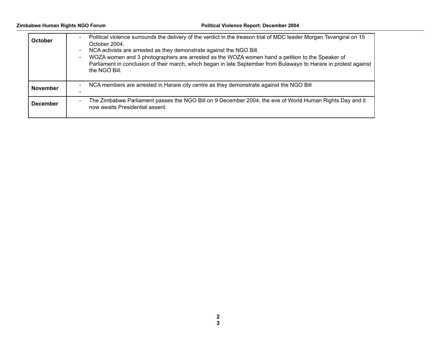| October         | Political violence surrounds the delivery of the verdict in the treason trial of MDC leader Morgan Tsvangirai on 15<br>October 2004.<br>NCA activists are arrested as they demonstrate against the NGO Bill.<br>$\overline{\phantom{a}}$<br>WOZA women and 3 photographers are arrested as the WOZA women hand a petition to the Speaker of<br>$\overline{\phantom{a}}$<br>Parliament in conclusion of their march, which began in late September from Bulawayo to Harare in protest against<br>the NGO Bill. |
|-----------------|---------------------------------------------------------------------------------------------------------------------------------------------------------------------------------------------------------------------------------------------------------------------------------------------------------------------------------------------------------------------------------------------------------------------------------------------------------------------------------------------------------------|
| <b>November</b> | NCA members are arrested in Harare city centre as they demonstrate against the NGO Bill<br>$\blacksquare$                                                                                                                                                                                                                                                                                                                                                                                                     |
| <b>December</b> | The Zimbabwe Parliament passes the NGO Bill on 9 December 2004, the eve of World Human Rights Day and it<br>$\overline{\phantom{a}}$<br>now awaits Presidential assent.                                                                                                                                                                                                                                                                                                                                       |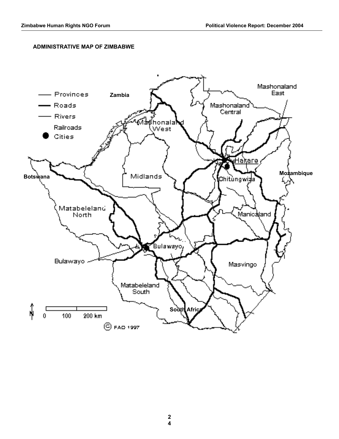#### **ADMINISTRATIVE MAP OF ZIMBABWE**